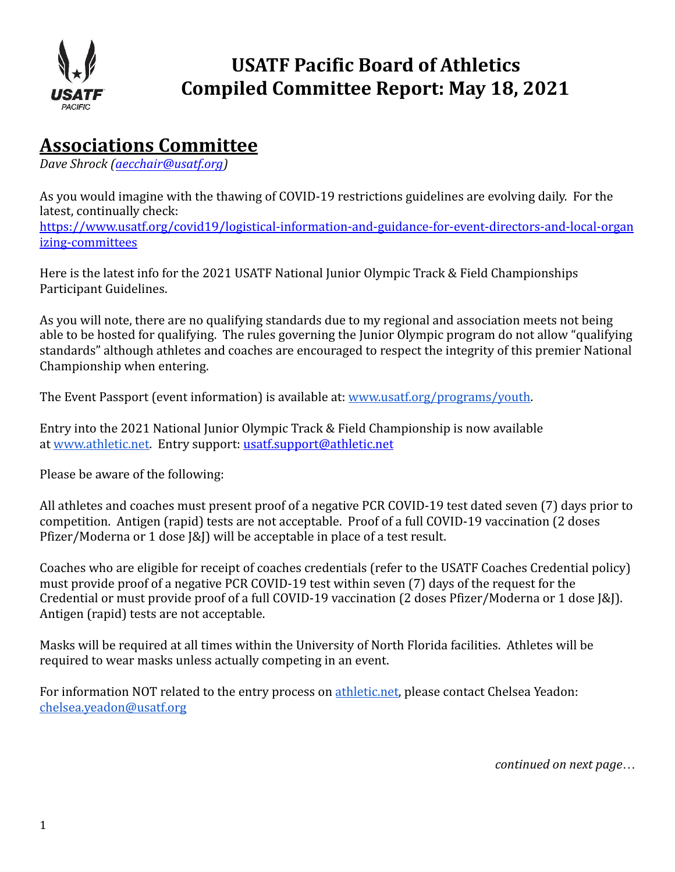

# **USATF Pacific Board of Athletics Compiled Committee Report: May 18, 2021**

### **Associations Committee**

*Dave Shrock ( [aecchair@usatf.org](mailto:aecchair@usatf.org) )* 

As you would imagine with the thawing of COVID-19 restrictions guidelines are evolving daily. For the latest, continually check: [https://www.usatf.org/covid19/logistical-information-and-guidance-for-event-directors-and-local-organ](https://www.usatf.org/covid19/logistical-information-and-guidance-for-event-directors-and-local-organizing-committees) [izing-committees](https://www.usatf.org/covid19/logistical-information-and-guidance-for-event-directors-and-local-organizing-committees)

Here is the latest info for the 2021 USATF National Junior Olympic Track & Field Championships Participant Guidelines.

As you will note, there are no qualifying standards due to my regional and association meets not being able to be hosted for qualifying. The rules governing the Junior Olympic program do not allow "qualifying standards" although athletes and coaches are encouraged to respect the integrity of this premier National Championship when entering.

The Event Passport (event information) is available at: [www.usatf.org/programs/youth .](http://www.usatf.org/programs/youth)

Entry into the 2021 National Junior Olympic Track & Field Championship is now available at www.athletic.net. Entry support: [usatf.support@athletic.net](mailto:usatf.support@athletic.net)

Please be aware of the following:

All athletes and coaches must present proof of a negative PCR COVID-19 test dated seven (7) days prior to competition. Antigen (rapid) tests are not acceptable. Proof of a full COVID-19 vaccination (2 doses Pfizer/Moderna or 1 dose J&J) will be acceptable in place of a test result.

Coaches who are eligible for receipt of coaches credentials (refer to the USATF Coaches Credential policy) must provide proof of a negative PCR COVID-19 test within seven (7) days of the request for the Credential or must provide proof of a full COVID-19 vaccination (2 doses Pfizer/Moderna or 1 dose J&J). Antigen (rapid) tests are not acceptable.

Masks will be required at all times within the University of North Florida facilities. Athletes will be required to wear masks unless actually competing in an event.

For information NOT related to the entry process on athletic.net, please contact Chelsea Yeadon: [chelsea.yeadon@usatf.org](mailto:chelsea.yeadon@usatf.org)

*continued on next page…*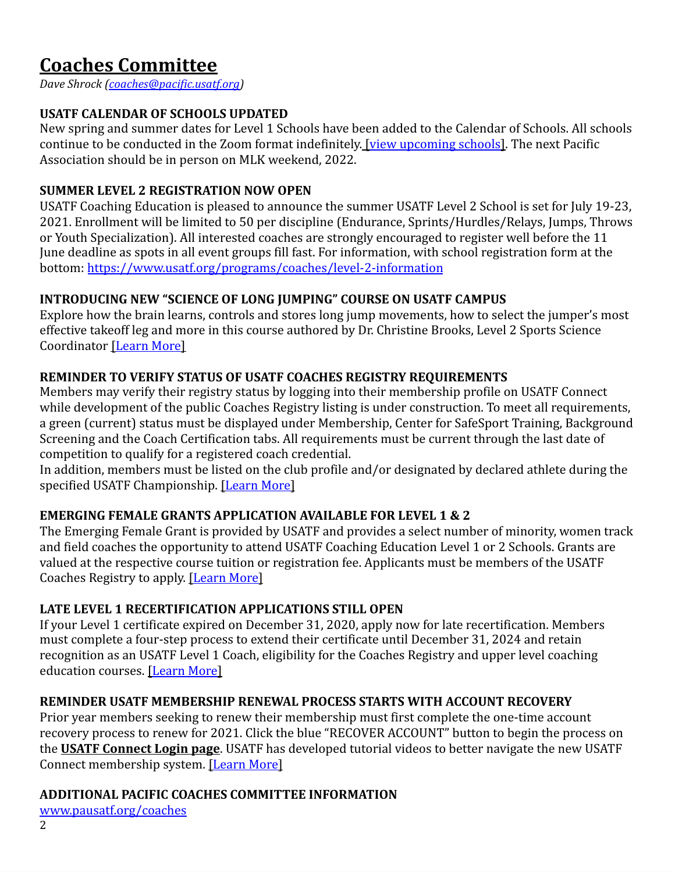# **Coaches Committee**

*Dave Shrock [\(coaches@pacific.usatf.org\)](mailto:coaches@pacific.usatf.org)*

#### **USATF CALENDAR OF SCHOOLS UPDATED**

New spring and summer dates for Level 1 Schools have been added to the Calendar of Schools. All schools continue to be conducted in the Zoom format indefinitely. [view upcoming schools]. The next Pacific Association should be in person on MLK weekend, 2022.

#### **SUMMER LEVEL 2 REGISTRATION NOW OPEN**

USATF Coaching Education is pleased to announce the summer USATF Level 2 School is set for July 19-23, 2021. Enrollment will be limited to 50 per discipline (Endurance, Sprints/Hurdles/Relays, Jumps, Throws or Youth Specialization). All interested coaches are strongly encouraged to register well before the 11 June deadline as spots in all event groups fill fast. For information, with school registration form at the bottom:<https://www.usatf.org/programs/coaches/level-2-information>

#### **INTRODUCING NEW "SCIENCE OF LONG JUMPING" COURSE ON USATF CAMPUS**

Explore how the brain learns, controls and stores long jump movements, how to select the jumper's most effective takeoff leg and more in this course authored by Dr. Christine Brooks, Level 2 Sports Science Coordinator [Learn More]

#### **REMINDER TO VERIFY STATUS OF USATF COACHES REGISTRY REQUIREMENTS**

Members may verify their registry status by logging into their membership profile on USATF Connect while development of the public Coaches Registry listing is under construction. To meet all requirements, a green (current) status must be displayed under Membership, Center for SafeSport Training, Background Screening and the Coach Certification tabs. All requirements must be current through the last date of competition to qualify for a registered coach credential.

In addition, members must be listed on the club profile and/or designated by declared athlete during the specified USATF Championship. [Learn More]

#### **EMERGING FEMALE GRANTS APPLICATION AVAILABLE FOR LEVEL 1 & 2**

The Emerging Female Grant is provided by USATF and provides a select number of minority, women track and field coaches the opportunity to attend USATF Coaching Education Level 1 or 2 Schools. Grants are valued at the respective course tuition or registration fee. Applicants must be members of the USATF Coaches Registry to apply. [Learn More]

#### **LATE LEVEL 1 RECERTIFICATION APPLICATIONS STILL OPEN**

If your Level 1 certificate expired on December 31, 2020, apply now for late recertification. Members must complete a four-step process to extend their certificate until December 31, 2024 and retain recognition as an USATF Level 1 Coach, eligibility for the Coaches Registry and upper level coaching education courses. [Learn More]

#### **REMINDER USATF MEMBERSHIP RENEWAL PROCESS STARTS WITH ACCOUNT RECOVERY**

Prior year members seeking to renew their membership must first complete the one-time account recovery process to renew for 2021. Click the blue "RECOVER ACCOUNT" button to begin the process on the **[USATF Connect Login page](https://mandrillapp.com/track/click/30962987/usatf.sport80.com?p=eyJzIjoiYzA0dFg5WjNYemZZb2t2U0tXekVNVUdmQ19nIiwidiI6MSwicCI6IntcInVcIjozMDk2Mjk4NyxcInZcIjoxLFwidXJsXCI6XCJodHRwczpcXFwvXFxcL3VzYXRmLnNwb3J0ODAuY29tXFxcL1wiLFwiaWRcIjpcImNlOWQxMTQ4NTA5NDQzNDg4YjI5MDM5MjU4Y2NhMTQ3XCIsXCJ1cmxfaWRzXCI6W1wiMzg1NWQwODI1ZDg0YWYwNDM5NjIxNWE4Yjg1ODk2ZTcyZTM0NmI3MFwiXX0ifQ)** . USATF has developed tutorial videos to better navigate the new USATF Connect membership system. [Learn More]

#### **ADDITIONAL PACIFIC COACHES COMMITTEE INFORMATION**

[www.pausatf.org/coaches](http://www.pausatf.org/coaches)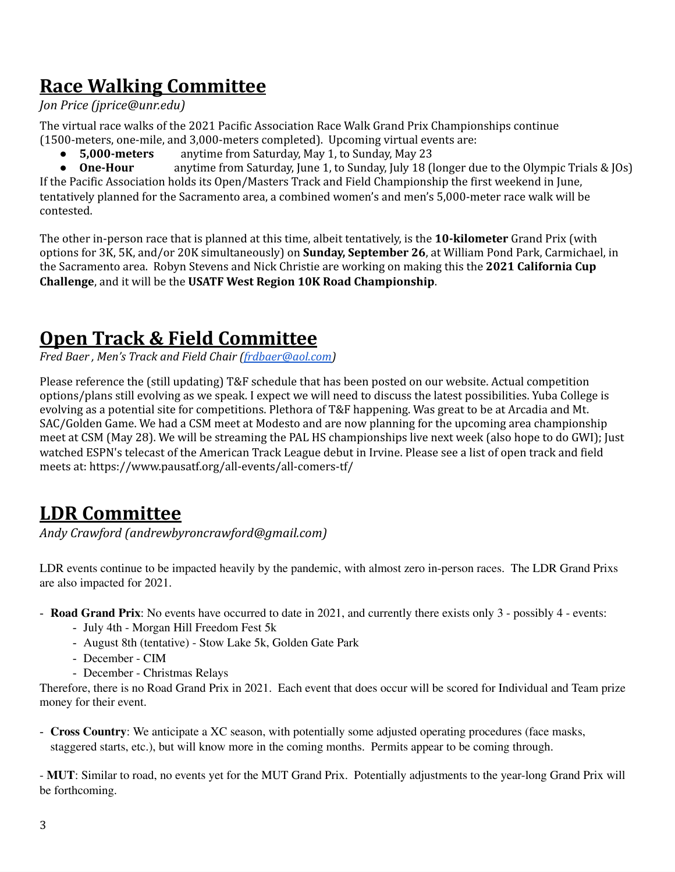# **Race Walking Committee**

#### *Jon Price (jprice@unr.edu)*

The virtual race walks of the 2021 Pacific Association Race Walk Grand Prix Championships continue (1500-meters, one-mile, and 3,000-meters completed). Upcoming virtual events are:

● **5,000-meters** anytime from Saturday, May 1, to Sunday, May 23

● **One-Hour** anytime from Saturday, June 1, to Sunday, July 18 (longer due to the Olympic Trials & JOs) If the Pacific Association holds its Open/Masters Track and Field Championship the first weekend in June, tentatively planned for the Sacramento area, a combined women's and men's 5,000-meter race walk will be contested.

The other in-person race that is planned at this time, albeit tentatively, is the **10-kilometer** Grand Prix (with options for 3K, 5K, and/or 20K simultaneously) on **Sunday, September 26**, at William Pond Park, Carmichael, in the Sacramento area. Robyn Stevens and Nick Christie are working on making this the **2021 California Cup Challenge**, and it will be the **USATF West Region 10K Road Championship**.

# **Open Track & Field Committee**

*Fred Baer , Men's Track and Field Chair [\(frdbaer@aol.com\)](mailto:frdbaer@aol.com)*

Please reference the (still updating) T&F schedule that has been posted on our website. Actual competition options/plans still evolving as we speak. I expect we will need to discuss the latest possibilities. Yuba College is evolving as a potential site for competitions. Plethora of T&F happening. Was great to be at Arcadia and Mt. SAC/Golden Game. We had a CSM meet at Modesto and are now planning for the upcoming area championship meet at CSM (May 28). We will be streaming the PAL HS championships live next week (also hope to do GWI); Just watched ESPN's telecast of the American Track League debut in Irvine. Please see a list of open track and field meets at: https://www.pausatf.org/all-events/all-comers-tf/

## **LDR Committee**

*Andy Crawford (andrewbyroncrawford@gmail.com)* 

LDR events continue to be impacted heavily by the pandemic, with almost zero in-person races. The LDR Grand Prixs are also impacted for 2021.

- **Road Grand Prix**: No events have occurred to date in 2021, and currently there exists only 3 possibly 4 events:
	- July 4th Morgan Hill Freedom Fest 5k
	- August 8th (tentative) Stow Lake 5k, Golden Gate Park
	- December CIM
	- December Christmas Relays

Therefore, there is no Road Grand Prix in 2021. Each event that does occur will be scored for Individual and Team prize money for their event.

- **Cross Country**: We anticipate a XC season, with potentially some adjusted operating procedures (face masks, staggered starts, etc.), but will know more in the coming months. Permits appear to be coming through.

- **MUT**: Similar to road, no events yet for the MUT Grand Prix. Potentially adjustments to the year-long Grand Prix will be forthcoming.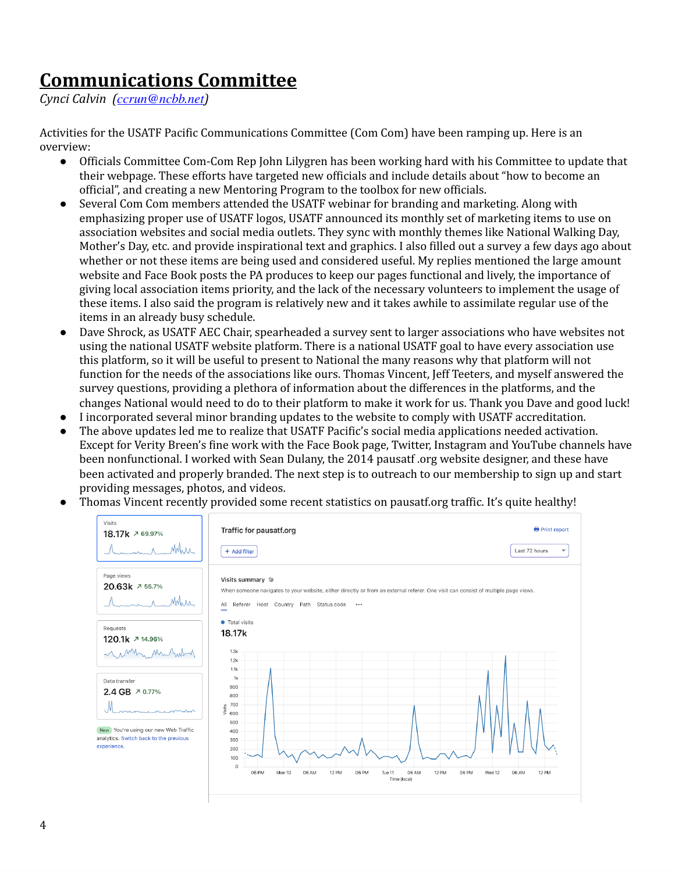### **Communications Committee**

*Cynci Calvin ( [ccrun@ncbb.net](mailto:ccrun@ncbb.net))* 

Activities for the USATF Pacific Communications Committee (Com Com) have been ramping up. Here is an overview:

- Officials Committee Com-Com Rep John Lilygren has been working hard with his Committee to update that their webpage. These efforts have targeted new officials and include details about "how to become an official", and creating a new Mentoring Program to the toolbox for new officials.
- Several Com Com members attended the USATF webinar for branding and marketing. Along with emphasizing proper use of USATF logos, USATF announced its monthly set of marketing items to use on association websites and social media outlets. They sync with monthly themes like National Walking Day, Mother's Day, etc. and provide inspirational text and graphics. I also filled out a survey a few days ago about whether or not these items are being used and considered useful. My replies mentioned the large amount website and Face Book posts the PA produces to keep our pages functional and lively, the importance of giving local association items priority, and the lack of the necessary volunteers to implement the usage of these items. I also said the program is relatively new and it takes awhile to assimilate regular use of the items in an already busy schedule.
- Dave Shrock, as USATF AEC Chair, spearheaded a survey sent to larger associations who have websites not using the national USATF website platform. There is a national USATF goal to have every association use this platform, so it will be useful to present to National the many reasons why that platform will not function for the needs of the associations like ours. Thomas Vincent, Jeff Teeters, and myself answered the survey questions, providing a plethora of information about the differences in the platforms, and the changes National would need to do to their platform to make it work for us. Thank you Dave and good luck!
- I incorporated several minor branding updates to the website to comply with USATF accreditation.
- The above updates led me to realize that USATF Pacific's social media applications needed activation. Except for Verity Breen's fine work with the Face Book page, Twitter, Instagram and YouTube channels have been nonfunctional. I worked with Sean Dulany, the 2014 pausatf .org website designer, and these have been activated and properly branded. The next step is to outreach to our membership to sign up and start providing messages, photos, and videos.
- Thomas Vincent recently provided some recent statistics on pausatf.org traffic. It's quite healthy!

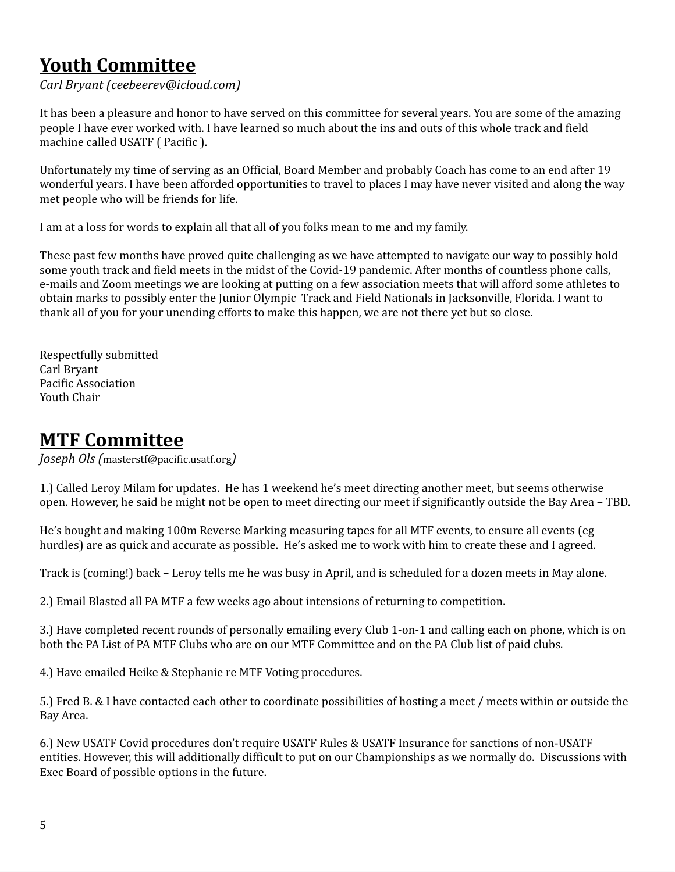# **Youth Committee**

*Carl Bryant (ceebeerev@icloud.com)* 

It has been a pleasure and honor to have served on this committee for several years. You are some of the amazing people I have ever worked with. I have learned so much about the ins and outs of this whole track and field machine called USATF ( Pacific ).

Unfortunately my time of serving as an Official, Board Member and probably Coach has come to an end after 19 wonderful years. I have been afforded opportunities to travel to places I may have never visited and along the way met people who will be friends for life.

I am at a loss for words to explain all that all of you folks mean to me and my family.

These past few months have proved quite challenging as we have attempted to navigate our way to possibly hold some youth track and field meets in the midst of the Covid-19 pandemic. After months of countless phone calls, e-mails and Zoom meetings we are looking at putting on a few association meets that will afford some athletes to obtain marks to possibly enter the Junior Olympic Track and Field Nationals in Jacksonville, Florida. I want to thank all of you for your unending efforts to make this happen, we are not there yet but so close.

Respectfully submitted Carl Bryant Pacific Association Youth Chair

### **MTF Committee**

*Joseph Ols (* masterstf@pacific.usatf.org*)* 

1.) Called Leroy Milam for updates. He has 1 weekend he's meet directing another meet, but seems otherwise open. However, he said he might not be open to meet directing our meet if significantly outside the Bay Area – TBD.

He's bought and making 100m Reverse Marking measuring tapes for all MTF events, to ensure all events (eg hurdles) are as quick and accurate as possible. He's asked me to work with him to create these and I agreed.

Track is (coming!) back – Leroy tells me he was busy in April, and is scheduled for a dozen meets in May alone.

2.) Email Blasted all PA MTF a few weeks ago about intensions of returning to competition.

3.) Have completed recent rounds of personally emailing every Club 1-on-1 and calling each on phone, which is on both the PA List of PA MTF Clubs who are on our MTF Committee and on the PA Club list of paid clubs.

4.) Have emailed Heike & Stephanie re MTF Voting procedures.

5.) Fred B. & I have contacted each other to coordinate possibilities of hosting a meet / meets within or outside the Bay Area.

6.) New USATF Covid procedures don't require USATF Rules & USATF Insurance for sanctions of non-USATF entities. However, this will additionally difficult to put on our Championships as we normally do. Discussions with Exec Board of possible options in the future.